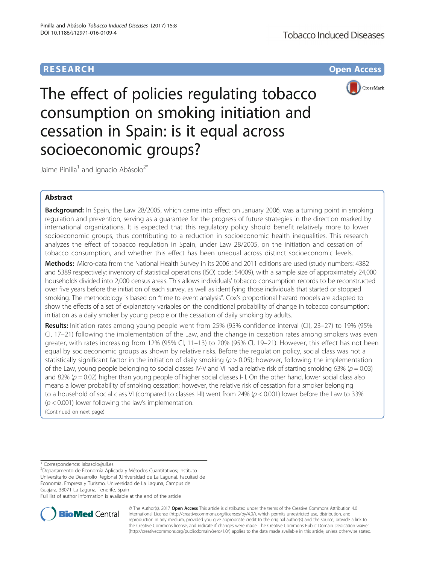# **RESEARCH CHE Open Access**



The effect of policies regulating tobacco consumption on smoking initiation and cessation in Spain: is it equal across socioeconomic groups?

Jaime Pinilla<sup>1</sup> and Ignacio Abásolo<sup>2\*</sup>

# Abstract

Background: In Spain, the Law 28/2005, which came into effect on January 2006, was a turning point in smoking regulation and prevention, serving as a guarantee for the progress of future strategies in the direction marked by international organizations. It is expected that this regulatory policy should benefit relatively more to lower socioeconomic groups, thus contributing to a reduction in socioeconomic health inequalities. This research analyzes the effect of tobacco regulation in Spain, under Law 28/2005, on the initiation and cessation of tobacco consumption, and whether this effect has been unequal across distinct socioeconomic levels.

Methods: Micro-data from the National Health Survey in its 2006 and 2011 editions are used (study numbers: 4382 and 5389 respectively; inventory of statistical operations (ISO) code: 54009), with a sample size of approximately 24,000 households divided into 2,000 census areas. This allows individuals' tobacco consumption records to be reconstructed over five years before the initiation of each survey, as well as identifying those individuals that started or stopped smoking. The methodology is based on "time to event analysis". Cox's proportional hazard models are adapted to show the effects of a set of explanatory variables on the conditional probability of change in tobacco consumption: initiation as a daily smoker by young people or the cessation of daily smoking by adults.

Results: Initiation rates among young people went from 25% (95% confidence interval (CI), 23-27) to 19% (95% CI, 17–21) following the implementation of the Law, and the change in cessation rates among smokers was even greater, with rates increasing from 12% (95% CI, 11–13) to 20% (95% CI, 19–21). However, this effect has not been equal by socioeconomic groups as shown by relative risks. Before the regulation policy, social class was not a statistically significant factor in the initiation of daily smoking ( $p > 0.05$ ); however, following the implementation of the Law, young people belonging to social classes IV-V and VI had a relative risk of starting smoking 63% ( $p = 0.03$ ) and 82% ( $p = 0.02$ ) higher than young people of higher social classes I-II. On the other hand, lower social class also means a lower probability of smoking cessation; however, the relative risk of cessation for a smoker belonging to a household of social class VI (compared to classes I-II) went from 24% (p < 0.001) lower before the Law to 33%  $(p < 0.001)$  lower following the law's implementation.

(Continued on next page)

\* Correspondence: [iabasolo@ull.es](mailto:iabasolo@ull.es) <sup>2</sup>

Departamento de Economía Aplicada y Métodos Cuantitativos; Instituto Universitario de Desarrollo Regional (Universidad de La Laguna). Facultad de Economía, Empresa y Turismo. Universidad de La Laguna, Campus de Guajara, 38071 La Laguna, Tenerife, Spain

Full list of author information is available at the end of the article



© The Author(s). 2017 **Open Access** This article is distributed under the terms of the Creative Commons Attribution 4.0 International License [\(http://creativecommons.org/licenses/by/4.0/](http://creativecommons.org/licenses/by/4.0/)), which permits unrestricted use, distribution, and reproduction in any medium, provided you give appropriate credit to the original author(s) and the source, provide a link to the Creative Commons license, and indicate if changes were made. The Creative Commons Public Domain Dedication waiver [\(http://creativecommons.org/publicdomain/zero/1.0/](http://creativecommons.org/publicdomain/zero/1.0/)) applies to the data made available in this article, unless otherwise stated.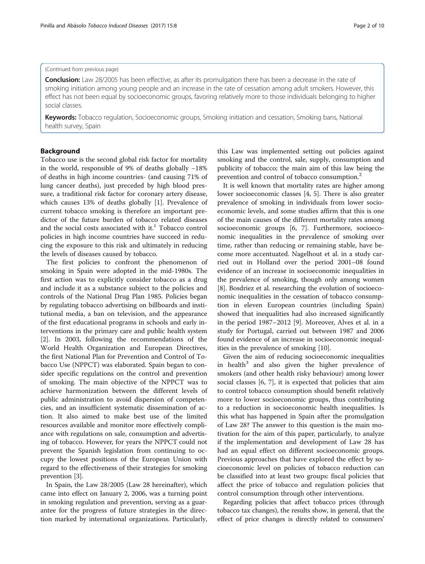### (Continued from previous page)

**Conclusion:** Law 28/2005 has been effective, as after its promulgation there has been a decrease in the rate of smoking initiation among young people and an increase in the rate of cessation among adult smokers. However, this effect has not been equal by socioeconomic groups, favoring relatively more to those individuals belonging to higher social classes.

Keywords: Tobacco regulation, Socioeconomic groups, Smoking initiation and cessation, Smoking bans, National health survey, Spain

# Background

Tobacco use is the second global risk factor for mortality in the world, responsible of 9% of deaths globally −18% of deaths in high income countries- (and causing 71% of lung cancer deaths), just preceded by high blood pressure, a traditional risk factor for coronary artery disease, which causes 13% of deaths globally [[1\]](#page-8-0). Prevalence of current tobacco smoking is therefore an important predictor of the future burden of tobacco related diseases and the social costs associated with it.<sup>1</sup> Tobacco control policies in high income countries have succeed in reducing the exposure to this risk and ultimately in reducing the levels of diseases caused by tobacco.

The first policies to confront the phenomenon of smoking in Spain were adopted in the mid-1980s. The first action was to explicitly consider tobacco as a drug and include it as a substance subject to the policies and controls of the National Drug Plan 1985. Policies began by regulating tobacco advertising on billboards and institutional media, a ban on television, and the appearance of the first educational programs in schools and early interventions in the primary care and public health system [[2\]](#page-8-0). In 2003, following the recommendations of the World Health Organization and European Directives, the first National Plan for Prevention and Control of Tobacco Use (NPPCT) was elaborated. Spain began to consider specific regulations on the control and prevention of smoking. The main objective of the NPPCT was to achieve harmonization between the different levels of public administration to avoid dispersion of competencies, and an insufficient systematic dissemination of action. It also aimed to make best use of the limited resources available and monitor more effectively compliance with regulations on sale, consumption and advertising of tobacco. However, for years the NPPCT could not prevent the Spanish legislation from continuing to occupy the lowest positions of the European Union with regard to the effectiveness of their strategies for smoking prevention [[3\]](#page-8-0).

In Spain, the Law 28/2005 (Law 28 hereinafter), which came into effect on January 2, 2006, was a turning point in smoking regulation and prevention, serving as a guarantee for the progress of future strategies in the direction marked by international organizations. Particularly, this Law was implemented setting out policies against smoking and the control, sale, supply, consumption and publicity of tobacco; the main aim of this law being the prevention and control of tobacco consumption.<sup>2</sup>

It is well known that mortality rates are higher among lower socioeconomic classes [[4, 5](#page-8-0)]. There is also greater prevalence of smoking in individuals from lower socioeconomic levels, and some studies affirm that this is one of the main causes of the different mortality rates among socioeconomic groups [\[6](#page-8-0), [7\]](#page-8-0). Furthermore, socioeconomic inequalities in the prevalence of smoking over time, rather than reducing or remaining stable, have become more accentuated. Nagelhout et al. in a study carried out in Holland over the period 2001–08 found evidence of an increase in socioeconomic inequalities in the prevalence of smoking, though only among women [[8\]](#page-8-0). Bosdriez et al. researching the evolution of socioeconomic inequalities in the cessation of tobacco consumption in eleven European countries (including Spain) showed that inequalities had also increased significantly in the period 1987–2012 [\[9](#page-8-0)]. Moreover, Alves et al. in a study for Portugal, carried out between 1987 and 2006 found evidence of an increase in socioeconomic inequalities in the prevalence of smoking [[10\]](#page-8-0).

Given the aim of reducing socioeconomic inequalities in health $3$  and also given the higher prevalence of smokers (and other health risky behaviour) among lower social classes [\[6](#page-8-0), [7](#page-8-0)], it is expected that policies that aim to control tobacco consumption should benefit relatively more to lower socioeconomic groups, thus contributing to a reduction in socioeconomic health inequalities. Is this what has happened in Spain after the promulgation of Law 28? The answer to this question is the main motivation for the aim of this paper, particularly, to analyze if the implementation and development of Law 28 has had an equal effect on different socioeconomic groups. Previous approaches that have explored the effect by socioeconomic level on policies of tobacco reduction can be classified into at least two groups: fiscal policies that affect the price of tobacco and regulation policies that control consumption through other interventions.

Regarding policies that affect tobacco prices (through tobacco tax changes), the results show, in general, that the effect of price changes is directly related to consumers'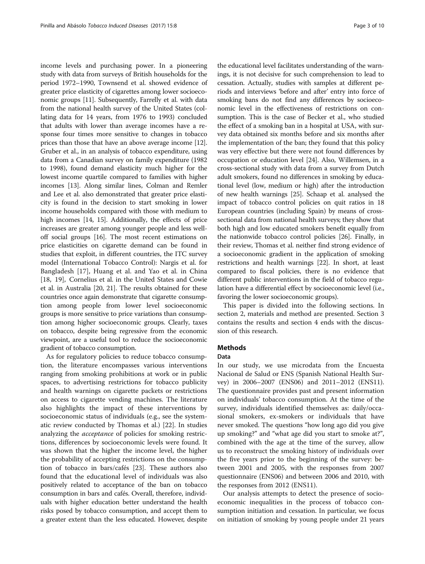income levels and purchasing power. In a pioneering study with data from surveys of British households for the period 1972–1990, Townsend et al. showed evidence of greater price elasticity of cigarettes among lower socioeconomic groups [\[11\]](#page-8-0). Subsequently, Farrelly et al. with data from the national health survey of the United States (collating data for 14 years, from 1976 to 1993) concluded that adults with lower than average incomes have a response four times more sensitive to changes in tobacco prices than those that have an above average income [[12](#page-8-0)]. Gruber et al., in an analysis of tobacco expenditure, using data from a Canadian survey on family expenditure (1982 to 1998), found demand elasticity much higher for the lowest income quartile compared to families with higher incomes [\[13\]](#page-8-0). Along similar lines, Colman and Remler and Lee et al. also demonstrated that greater price elasticity is found in the decision to start smoking in lower income households compared with those with medium to high incomes [[14](#page-8-0), [15\]](#page-8-0). Additionally, the effects of price increases are greater among younger people and less welloff social groups [[16](#page-8-0)]. The most recent estimations on price elasticities on cigarette demand can be found in studies that exploit, in different countries, the ITC survey model (International Tobacco Control): Nargis et al. for Bangladesh [\[17](#page-8-0)], Huang et al. and Yao et al. in China [[18, 19\]](#page-9-0), Cornelius et al. in the United States and Cowie et al. in Australia [\[20, 21\]](#page-9-0). The results obtained for these countries once again demonstrate that cigarette consumption among people from lower level socioeconomic groups is more sensitive to price variations than consumption among higher socioeconomic groups. Clearly, taxes on tobacco, despite being regressive from the economic viewpoint, are a useful tool to reduce the socioeconomic gradient of tobacco consumption.

As for regulatory policies to reduce tobacco consumption, the literature encompasses various interventions ranging from smoking prohibitions at work or in public spaces, to advertising restrictions for tobacco publicity and health warnings on cigarette packets or restrictions on access to cigarette vending machines. The literature also highlights the impact of these interventions by socioeconomic status of individuals (e.g., see the systematic review conducted by Thomas et al.) [\[22](#page-9-0)]. In studies analyzing the acceptance of policies for smoking restrictions, differences by socioeconomic levels were found. It was shown that the higher the income level, the higher the probability of accepting restrictions on the consumption of tobacco in bars/cafés [\[23](#page-9-0)]. These authors also found that the educational level of individuals was also positively related to acceptance of the ban on tobacco consumption in bars and cafés. Overall, therefore, individuals with higher education better understand the health risks posed by tobacco consumption, and accept them to a greater extent than the less educated. However, despite

the educational level facilitates understanding of the warnings, it is not decisive for such comprehension to lead to cessation. Actually, studies with samples at different periods and interviews 'before and after' entry into force of smoking bans do not find any differences by socioeconomic level in the effectiveness of restrictions on consumption. This is the case of Becker et al., who studied the effect of a smoking ban in a hospital at USA, with survey data obtained six months before and six months after the implementation of the ban; they found that this policy was very effective but there were not found differences by occupation or education level [\[24\]](#page-9-0). Also, Willemsen, in a cross-sectional study with data from a survey from Dutch adult smokers, found no differences in smoking by educational level (low, medium or high) after the introduction of new health warnings [[25](#page-9-0)]. Schaap et al. analysed the impact of tobacco control policies on quit ratios in 18 European countries (including Spain) by means of crosssectional data from national health surveys; they show that both high and low educated smokers benefit equally from the nationwide tobacco control policies [\[26\]](#page-9-0). Finally, in their review, Thomas et al. neither find strong evidence of a socioeconomic gradient in the application of smoking restrictions and health warnings [\[22](#page-9-0)]. In short, at least compared to fiscal policies, there is no evidence that different public interventions in the field of tobacco regulation have a differential effect by socioeconomic level (i.e., favoring the lower socioeconomic groups).

This paper is divided into the following sections. In section 2, materials and method are presented. Section 3 contains the results and section 4 ends with the discussion of this research.

# Methods

## Data

In our study, we use microdata from the Encuesta Nacional de Salud or ENS (Spanish National Health Survey) in 2006–2007 (ENS06) and 2011–2012 (ENS11). The questionnaire provides past and present information on individuals' tobacco consumption. At the time of the survey, individuals identified themselves as: daily/occasional smokers, ex-smokers or individuals that have never smoked. The questions "how long ago did you give up smoking?" and "what age did you start to smoke at?", combined with the age at the time of the survey, allow us to reconstruct the smoking history of individuals over the five years prior to the beginning of the survey: between 2001 and 2005, with the responses from 2007 questionnaire (ENS06) and between 2006 and 2010, with the responses from 2012 (ENS11).

Our analysis attempts to detect the presence of socioeconomic inequalities in the process of tobacco consumption initiation and cessation. In particular, we focus on initiation of smoking by young people under 21 years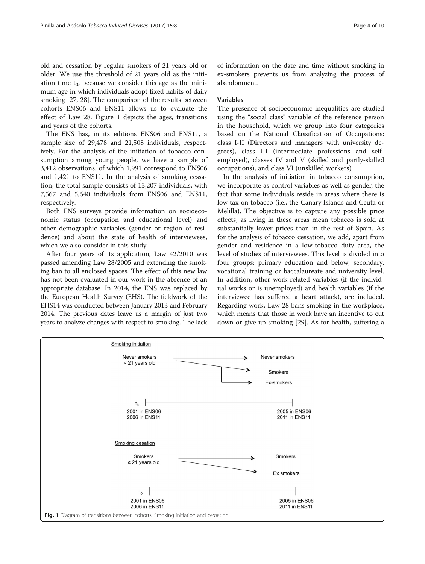old and cessation by regular smokers of 21 years old or older. We use the threshold of 21 years old as the initiation time  $t_0$ , because we consider this age as the minimum age in which individuals adopt fixed habits of daily smoking [\[27](#page-9-0), [28](#page-9-0)]. The comparison of the results between cohorts ENS06 and ENS11 allows us to evaluate the effect of Law 28. Figure 1 depicts the ages, transitions and years of the cohorts.

The ENS has, in its editions ENS06 and ENS11, a sample size of 29,478 and 21,508 individuals, respectively. For the analysis of the initiation of tobacco consumption among young people, we have a sample of 3,412 observations, of which 1,991 correspond to ENS06 and 1,421 to ENS11. In the analysis of smoking cessation, the total sample consists of 13,207 individuals, with 7,567 and 5,640 individuals from ENS06 and ENS11, respectively.

Both ENS surveys provide information on socioeconomic status (occupation and educational level) and other demographic variables (gender or region of residence) and about the state of health of interviewees, which we also consider in this study.

After four years of its application, Law 42/2010 was passed amending Law 28/2005 and extending the smoking ban to all enclosed spaces. The effect of this new law has not been evaluated in our work in the absence of an appropriate database. In 2014, the ENS was replaced by the European Health Survey (EHS). The fieldwork of the EHS14 was conducted between January 2013 and February 2014. The previous dates leave us a margin of just two years to analyze changes with respect to smoking. The lack

of information on the date and time without smoking in ex-smokers prevents us from analyzing the process of abandonment.

### Variables

The presence of socioeconomic inequalities are studied using the "social class" variable of the reference person in the household, which we group into four categories based on the National Classification of Occupations: class I-II (Directors and managers with university degrees), class III (intermediate professions and selfemployed), classes IV and V (skilled and partly-skilled occupations), and class VI (unskilled workers).

In the analysis of initiation in tobacco consumption, we incorporate as control variables as well as gender, the fact that some individuals reside in areas where there is low tax on tobacco (i.e., the Canary Islands and Ceuta or Melilla). The objective is to capture any possible price effects, as living in these areas mean tobacco is sold at substantially lower prices than in the rest of Spain. As for the analysis of tobacco cessation, we add, apart from gender and residence in a low-tobacco duty area, the level of studies of interviewees. This level is divided into four groups: primary education and below, secondary, vocational training or baccalaureate and university level. In addition, other work-related variables (if the individual works or is unemployed) and health variables (if the interviewee has suffered a heart attack), are included. Regarding work, Law 28 bans smoking in the workplace, which means that those in work have an incentive to cut down or give up smoking [\[29\]](#page-9-0). As for health, suffering a

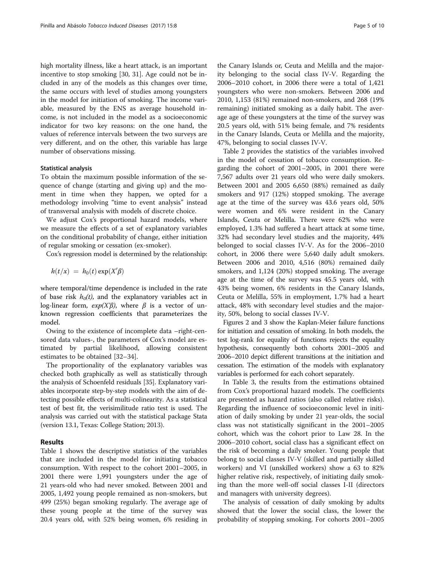high mortality illness, like a heart attack, is an important incentive to stop smoking [\[30, 31](#page-9-0)]. Age could not be included in any of the models as this changes over time, the same occurs with level of studies among youngsters in the model for initiation of smoking. The income variable, measured by the ENS as average household income, is not included in the model as a socioeconomic indicator for two key reasons: on the one hand, the values of reference intervals between the two surveys are very different, and on the other, this variable has large number of observations missing.

#### Statistical analysis

To obtain the maximum possible information of the sequence of change (starting and giving up) and the moment in time when they happen, we opted for a methodology involving "time to event analysis" instead of transversal analysis with models of discrete choice.

We adjust Cox's proportional hazard models, where we measure the effects of a set of explanatory variables on the conditional probability of change, either initiation of regular smoking or cessation (ex-smoker).

Cox's regression model is determined by the relationship:

$$
h(t/x) = h_0(t) \exp(X'\beta)
$$

where temporal/time dependence is included in the rate of base risk  $h<sub>0</sub>(t)$ , and the explanatory variables act in log-linear form,  $exp(X'\beta)$ , where  $\beta$  is a vector of unknown regression coefficients that parameterizes the model.

Owing to the existence of incomplete data –right-censored data values-, the parameters of Cox's model are estimated by partial likelihood, allowing consistent estimates to be obtained [[32](#page-9-0)–[34](#page-9-0)].

The proportionality of the explanatory variables was checked both graphically as well as statistically through the analysis of Schoenfeld residuals [\[35\]](#page-9-0). Explanatory variables incorporate step-by-step models with the aim of detecting possible effects of multi-colinearity. As a statistical test of best fit, the verisimilitude ratio test is used. The analysis was carried out with the statistical package Stata (version 13.1, Texas: College Station; 2013).

# Results

Table [1](#page-5-0) shows the descriptive statistics of the variables that are included in the model for initiating tobacco consumption. With respect to the cohort 2001–2005, in 2001 there were 1,991 youngsters under the age of 21 years-old who had never smoked. Between 2001 and 2005, 1,492 young people remained as non-smokers, but 499 (25%) began smoking regularly. The average age of these young people at the time of the survey was 20.4 years old, with 52% being women, 6% residing in

the Canary Islands or, Ceuta and Melilla and the majority belonging to the social class IV-V. Regarding the 2006–2010 cohort, in 2006 there were a total of 1,421 youngsters who were non-smokers. Between 2006 and 2010, 1,153 (81%) remained non-smokers, and 268 (19% remaining) initiated smoking as a daily habit. The average age of these youngsters at the time of the survey was 20.5 years old, with 51% being female, and 7% residents in the Canary Islands, Ceuta or Melilla and the majority, 47%, belonging to social classes IV-V.

Table [2](#page-5-0) provides the statistics of the variables involved in the model of cessation of tobacco consumption. Regarding the cohort of 2001–2005, in 2001 there were 7,567 adults over 21 years old who were daily smokers. Between 2001 and 2005 6,650 (88%) remained as daily smokers and 917 (12%) stopped smoking. The average age at the time of the survey was 43.6 years old, 50% were women and 6% were resident in the Canary Islands, Ceuta or Melilla. There were 62% who were employed, 1.3% had suffered a heart attack at some time, 32% had secondary level studies and the majority, 44% belonged to social classes IV-V. As for the 2006–2010 cohort, in 2006 there were 5,640 daily adult smokers. Between 2006 and 2010, 4,516 (80%) remained daily smokers, and 1,124 (20%) stopped smoking. The average age at the time of the survey was 45.5 years old, with 43% being women, 6% residents in the Canary Islands, Ceuta or Melilla, 55% in employment, 1.7% had a heart attack, 48% with secondary level studies and the majority, 50%, belong to social classes IV-V.

Figures [2](#page-6-0) and [3](#page-6-0) show the Kaplan-Meier failure functions for initiation and cessation of smoking. In both models, the test log-rank for equality of functions rejects the equality hypothesis, consequently both cohorts 2001–2005 and 2006–2010 depict different transitions at the initiation and cessation. The estimation of the models with explanatory variables is performed for each cohort separately.

In Table [3,](#page-7-0) the results from the estimations obtained from Cox's proportional hazard models. The coefficients are presented as hazard ratios (also called relative risks). Regarding the influence of socioeconomic level in initiation of daily smoking by under 21 year-olds, the social class was not statistically significant in the 2001–2005 cohort, which was the cohort prior to Law 28. In the 2006–2010 cohort, social class has a significant effect on the risk of becoming a daily smoker. Young people that belong to social classes IV-V (skilled and partially skilled workers) and VI (unskilled workers) show a 63 to 82% higher relative risk, respectively, of initiating daily smoking than the more well-off social classes I-II (directors and managers with university degrees).

The analysis of cessation of daily smoking by adults showed that the lower the social class, the lower the probability of stopping smoking. For cohorts 2001–2005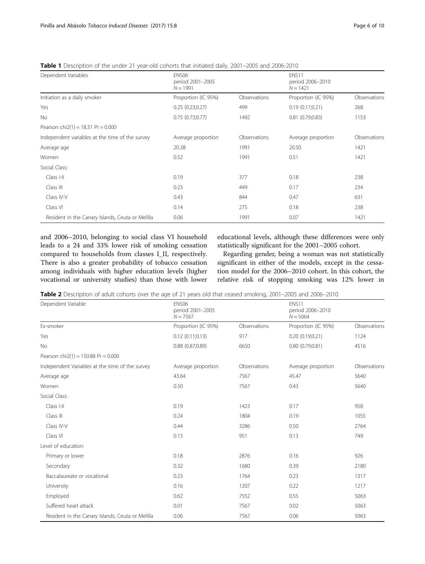| Dependent Variables                              | ENS <sub>06</sub><br>period 2001-2005<br>$N = 1991$ |              | ENS11<br>period 2006-2010<br>$N = 1421$ |              |
|--------------------------------------------------|-----------------------------------------------------|--------------|-----------------------------------------|--------------|
| Initiation as a daily smoker                     | Proportion (IC 95%)                                 | Observations | Proportion (IC 95%)                     | Observations |
| Yes                                              | 0.25(0.23;0.27)                                     | 499          | 0.19(0.17;0.21)                         | 268          |
| No                                               | 0.75(0.73;0.77)                                     | 1492         | 0.81(0.79;0.83)                         | 1153         |
| Pearson chi2(1) = 18.31 Pr = $0.000$             |                                                     |              |                                         |              |
| Independent variables at the time of the survey  | Average proportion                                  | Observations | Average proportion                      | Observations |
| Average age                                      | 20.38                                               | 1991         | 20.50                                   | 1421         |
| Women                                            | 0.52                                                | 1991         | 0.51                                    | 1421         |
| Social Class:                                    |                                                     |              |                                         |              |
| Class I-II                                       | 0.19                                                | 377          | 0.18                                    | 238          |
| Class III                                        | 0.23                                                | 449          | 0.17                                    | 234          |
| Class IV-V                                       | 0.43                                                | 844          | 0.47                                    | 631          |
| Class VI                                         | 0.14                                                | 275          | 0.18                                    | 238          |
| Resident in the Canary Islands, Ceuta or Melilla | 0.06                                                | 1991         | 0.07                                    | 1421         |

<span id="page-5-0"></span>Table 1 Description of the under 21 year-old cohorts that initiated daily, 2001–2005 and 2006-2010

and 2006–2010, belonging to social class VI household leads to a 24 and 33% lower risk of smoking cessation compared to households from classes I\_II, respectively. There is also a greater probability of tobacco cessation among individuals with higher education levels (higher vocational or university studies) than those with lower educational levels, although these differences were only statistically significant for the 2001–2005 cohort.

Regarding gender, being a woman was not statistically significant in either of the models, except in the cessation model for the 2006–2010 cohort. In this cohort, the relative risk of stopping smoking was 12% lower in

|  |  |  |  |  | <b>Table 2</b> Description of adult cohorts over the age of 21 years old that ceased smoking, 2001–2005 and 2006–2010 |  |  |  |
|--|--|--|--|--|-----------------------------------------------------------------------------------------------------------------------|--|--|--|
|--|--|--|--|--|-----------------------------------------------------------------------------------------------------------------------|--|--|--|

| Dependent Variable                               | ENS06<br>period 2001-2005<br>$N = 7567$ |              | ENS11<br>period 2006-2010<br>$N = 5064$ |              |
|--------------------------------------------------|-----------------------------------------|--------------|-----------------------------------------|--------------|
| Ex-smoker                                        | Proportion (IC 95%)                     | Observations | Proportion (IC 95%)                     | Observations |
| Yes                                              | 0.12(0.11;0.13)                         | 917          | 0.20(0.19;0.21)                         | 1124         |
| No                                               | $0.88$ $(0.87;0.89)$                    | 6650         | 0.80(0.79;0.81)                         | 4516         |
| Pearson chi2(1) = 150.88 Pr = $0.000$            |                                         |              |                                         |              |
| Independent Variables at the time of the survey  | Average proportion                      | Observations | Average proportion                      | Observations |
| Average age                                      | 43.64                                   | 7567         | 45.47                                   | 5640         |
| Women                                            | 0.50                                    | 7567         | 0.43                                    | 5640         |
| Social Class:                                    |                                         |              |                                         |              |
| Class I-II                                       | 0.19                                    | 1423         | 0.17                                    | 958          |
| Class III                                        | 0.24                                    | 1804         | 0.19                                    | 1055         |
| Class IV-V                                       | 0.44                                    | 3286         | 0.50                                    | 2764         |
| Class VI                                         | 0.13                                    | 951          | 0.13                                    | 749          |
| Level of education:                              |                                         |              |                                         |              |
| Primary or lower                                 | 0.18                                    | 2876         | 0.16                                    | 926          |
| Secondary                                        | 0.32                                    | 1680         | 0.39                                    | 2180         |
| Baccalaureate or vocational                      | 0.23                                    | 1764         | 0.23                                    | 1317         |
| University                                       | 0.16                                    | 1207         | 0.22                                    | 1217         |
| Employed                                         | 0.62                                    | 7552         | 0.55                                    | 5063         |
| Suffered heart attack                            | 0.01                                    | 7567         | 0.02                                    | 5063         |
| Resident in the Canary Islands, Ceuta or Melilla | 0.06                                    | 7567         | 0.06                                    | 5063         |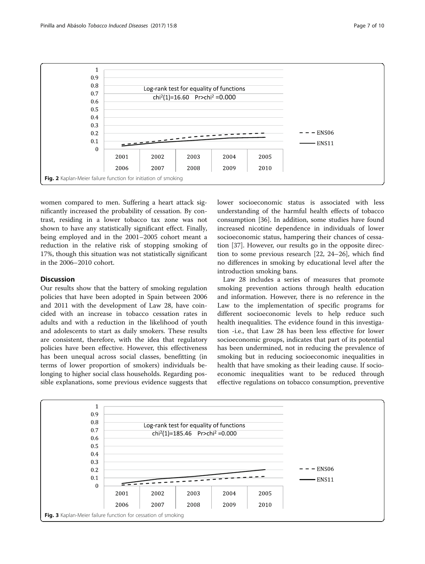<span id="page-6-0"></span>

women compared to men. Suffering a heart attack significantly increased the probability of cessation. By contrast, residing in a lower tobacco tax zone was not shown to have any statistically significant effect. Finally, being employed and in the 2001–2005 cohort meant a reduction in the relative risk of stopping smoking of 17%, though this situation was not statistically significant in the 2006–2010 cohort.

# Discussion

Our results show that the battery of smoking regulation policies that have been adopted in Spain between 2006 and 2011 with the development of Law 28, have coincided with an increase in tobacco cessation rates in adults and with a reduction in the likelihood of youth and adolescents to start as daily smokers. These results are consistent, therefore, with the idea that regulatory policies have been effective. However, this effectiveness has been unequal across social classes, benefitting (in terms of lower proportion of smokers) individuals belonging to higher social class households. Regarding possible explanations, some previous evidence suggests that lower socioeconomic status is associated with less understanding of the harmful health effects of tobacco consumption [\[36](#page-9-0)]. In addition, some studies have found increased nicotine dependence in individuals of lower socioeconomic status, hampering their chances of cessation [[37](#page-9-0)]. However, our results go in the opposite direction to some previous research [[22, 24](#page-9-0)–[26\]](#page-9-0), which find no differences in smoking by educational level after the introduction smoking bans.

Law 28 includes a series of measures that promote smoking prevention actions through health education and information. However, there is no reference in the Law to the implementation of specific programs for different socioeconomic levels to help reduce such health inequalities. The evidence found in this investigation -i.e., that Law 28 has been less effective for lower socioeconomic groups, indicates that part of its potential has been undermined, not in reducing the prevalence of smoking but in reducing socioeconomic inequalities in health that have smoking as their leading cause. If socioeconomic inequalities want to be reduced through effective regulations on tobacco consumption, preventive

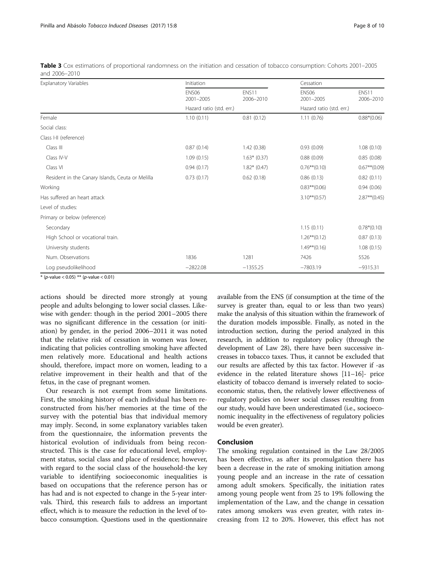| <b>Explanatory Variables</b>                     | Initiation                     |                    | Cessation                      |                    |
|--------------------------------------------------|--------------------------------|--------------------|--------------------------------|--------------------|
|                                                  | ENS <sub>06</sub><br>2001-2005 | ENS11<br>2006-2010 | ENS <sub>06</sub><br>2001-2005 | ENS11<br>2006-2010 |
|                                                  | Hazard ratio (std. err.)       |                    | Hazard ratio (std. err.)       |                    |
| Female                                           | 1.10(0.11)                     | 0.81(0.12)         | 1.11(0.76)                     | $0.88*(0.06)$      |
| Social class:                                    |                                |                    |                                |                    |
| Class I-II (reference)                           |                                |                    |                                |                    |
| Class III                                        | 0.87(0.14)                     | 1.42(0.38)         | 0.93(0.09)                     | 1.08(0.10)         |
| Class IV-V                                       | 1.09(0.15)                     | $1.63*$ (0.37)     | 0.88(0.09)                     | 0.85(0.08)         |
| Class VI                                         | 0.94(0.17)                     | $1.82*$ (0.47)     | $0.76**$ (0.10)                | $0.67**$ (0.09)    |
| Resident in the Canary Islands, Ceuta or Melilla | 0.73(0.17)                     | 0.62(0.18)         | 0.86(0.13)                     | 0.82(0.11)         |
| Working                                          |                                |                    | $0.83**$ (0.06)                | 0.94(0.06)         |
| Has suffered an heart attack                     |                                |                    | $3.10***(0.57)$                | $2.87**$ (0.45)    |
| Level of studies:                                |                                |                    |                                |                    |
| Primary or below (reference)                     |                                |                    |                                |                    |
| Secondary                                        |                                |                    | 1.15(0.11)                     | $0.78*(0.10)$      |
| High School or vocational train.                 |                                |                    | $1.26***(0.12)$                | 0.87(0.13)         |
| University students                              |                                |                    | $1.49**$ (0.16)                | 1.08(0.15)         |
| Num. Observations                                | 1836                           | 1281               | 7426                           | 5526               |
| Log pseudolikelihood                             | $-2822.08$                     | $-1355.25$         | $-7803.19$                     | $-9315.31$         |

<span id="page-7-0"></span>Table 3 Cox estimations of proportional randomness on the initiation and cessation of tobacco consumption: Cohorts 2001–2005 and 2006–2010

 $*(p$ -value < 0.05) \*\* (p-value < 0.01)

actions should be directed more strongly at young people and adults belonging to lower social classes. Likewise with gender: though in the period 2001–2005 there was no significant difference in the cessation (or initiation) by gender, in the period 2006–2011 it was noted that the relative risk of cessation in women was lower, indicating that policies controlling smoking have affected men relatively more. Educational and health actions should, therefore, impact more on women, leading to a relative improvement in their health and that of the fetus, in the case of pregnant women.

Our research is not exempt from some limitations. First, the smoking history of each individual has been reconstructed from his/her memories at the time of the survey with the potential bias that individual memory may imply. Second, in some explanatory variables taken from the questionnaire, the information prevents the historical evolution of individuals from being reconstructed. This is the case for educational level, employment status, social class and place of residence; however, with regard to the social class of the household-the key variable to identifying socioeconomic inequalities is based on occupations that the reference person has or has had and is not expected to change in the 5-year intervals. Third, this research fails to address an important effect, which is to measure the reduction in the level of tobacco consumption. Questions used in the questionnaire

available from the ENS (if consumption at the time of the survey is greater than, equal to or less than two years) make the analysis of this situation within the framework of the duration models impossible. Finally, as noted in the introduction section, during the period analyzed in this research, in addition to regulatory policy (through the development of Law 28), there have been successive increases in tobacco taxes. Thus, it cannot be excluded that our results are affected by this tax factor. However if -as evidence in the related literature shows [\[11](#page-8-0)–[16](#page-8-0)]- price elasticity of tobacco demand is inversely related to socioeconomic status, then, the relatively lower effectiveness of regulatory policies on lower social classes resulting from our study, would have been underestimated (i.e., socioeconomic inequality in the effectiveness of regulatory policies would be even greater).

# Conclusion

The smoking regulation contained in the Law 28/2005 has been effective, as after its promulgation there has been a decrease in the rate of smoking initiation among young people and an increase in the rate of cessation among adult smokers. Specifically, the initiation rates among young people went from 25 to 19% following the implementation of the Law, and the change in cessation rates among smokers was even greater, with rates increasing from 12 to 20%. However, this effect has not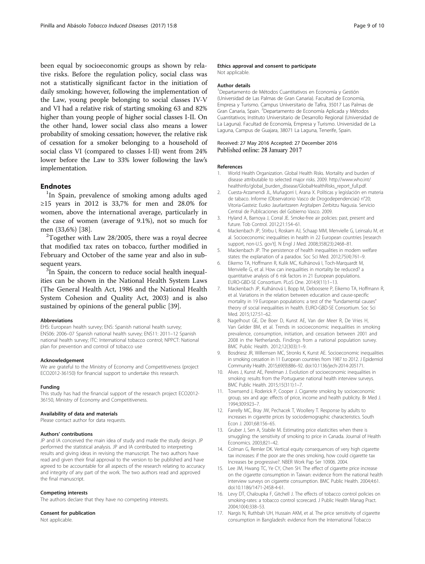<span id="page-8-0"></span>been equal by socioeconomic groups as shown by relative risks. Before the regulation policy, social class was not a statistically significant factor in the initiation of daily smoking; however, following the implementation of the Law, young people belonging to social classes IV-V and VI had a relative risk of starting smoking 63 and 82% higher than young people of higher social classes I-II. On the other hand, lower social class also means a lower probability of smoking cessation; however, the relative risk of cessation for a smoker belonging to a household of social class VI (compared to classes I-II) went from 24% lower before the Law to 33% lower following the law's implementation.

# **Endnotes**

<sup>1</sup>In Spain, prevalence of smoking among adults aged ≥15 years in 2012 is 33,7% for men and 28.0% for women, above the international average, particularly in the case of women (average of 9.1%), not so much for men (33,6%) [[38\]](#page-9-0). <sup>2</sup>

 $2$ Together with Law 28/2005, there was a royal decree that modified tax rates on tobacco, further modified in February and October of the same year and also in subsequent years.

<sup>3</sup>In Spain, the concern to reduce social health inequalities can be shown in the National Health System Laws (The General Health Act, 1986 and the National Health System Cohesion and Quality Act, 2003) and is also sustained by opinions of the general public [[39\]](#page-9-0).

#### Abbreviations

EHS: European health survey; ENS: Spanish national health survey; ENS06: 2006–07 Spanish national health survey; ENS11: 2011–12 Spanish national health survey; ITC: International tobacco control; NPPCT: National plan for prevention and control of tobacco use

#### Acknowledgement

We are grateful to the Ministry of Economy and Competitiveness (project ECO2012-36150) for financial support to undertake this research.

#### Funding

This study has had the financial support of the research project ECO2012- 36150, Ministry of Economy and Competitiveness.

#### Availability of data and materials

Please contact author for data requests.

### Authors' contributions

JP and IA conceived the main idea of study and made the study design. JP performed the statistical analysis. JP and IA contributed to interpreting results and giving ideas in revising the manuscript. The two authors have read and given their final approval to the version to be published and have agreed to be accountable for all aspects of the research relating to accuracy and integrity of any part of the work. The two authors read and approved the final manuscript.

### Competing interests

The authors declare that they have no competing interests.

#### Consent for publication

Not applicable.

### Ethics approval and consent to participate

Not applicable.

### Author details

1 Departamento de Métodos Cuantitativos en Economía y Gestión (Universidad de Las Palmas de Gran Canaria). Facultad de Economía, Empresa y Turismo. Campus Universitario de Tafira, 35017 Las Palmas de Gran Canaria, Spain. <sup>2</sup> Departamento de Economía Aplicada y Métodos Cuantitativos; Instituto Universitario de Desarrollo Regional (Universidad de La Laguna). Facultad de Economía, Empresa y Turismo. Universidad de La Laguna, Campus de Guajara, 38071 La Laguna, Tenerife, Spain.

### Received: 27 May 2016 Accepted: 27 December 2016 Published online: 28 January 2017

#### References

- 1. World Health Organization. Global Health Risks. Mortality and burden of disease attributable to selected major risks. 2009. [http://www.who.int/](http://www.who.int/healthinfo/global_burden_disease/GlobalHealthRisks_report_full.pdf) [healthinfo/global\\_burden\\_disease/GlobalHealthRisks\\_report\\_full.pdf.](http://www.who.int/healthinfo/global_burden_disease/GlobalHealthRisks_report_full.pdf)
- 2. Cuesta-Arzamendi JL, Muñagorri I, Arana X. Políticas y legislación en materia de tabaco. Informe (Observatorio Vasco de Drogodependencias) n°20; Vitoria-Gasteiz: Eusko Jaurlaritzaren Argitalpen Zerbitzu Nagusia. Servicio Central de Publicaciones del Gobierno Vasco. 2009.
- 3. Hyland A, Barnoya J, Corral JE. Smoke-free air policies: past, present and future. Tob Control. 2012;21:154–61.
- 4. Mackenbach JP, Stirbu I, Roskam AJ, Schaap MM, Menvielle G, Leinsalu M, et al. Socioeconomic inequalities in health in 22 European countries [research support, non-U.S. gov't]. N Engl J Med. 2008;358(23):2468–81.
- 5. Mackenbach JP. The persistence of health inequalities in modern welfare states: the explanation of a paradox. Soc Sci Med. 2012;75(4):761–9.
- 6. Eikemo TA, Hoffmann R, Kulik MC, Kulhánová I, Toch-Marquardt M, Menvielle G, et al. How can inequalities in mortality be reduced? a quantitative analysis of 6 risk factors in 21 European populations. EURO-GBD-SE Consortium. PLoS One. 2014;9(11):1–13.
- 7. Mackenbach JP, Kulhánová I, Bopp M, Deboosere P, Eikemo TA, Hoffmann R, et al. Variations in the relation between education and cause-specific mortality in 19 European populations: a test of the "fundamental causes" theory of social inequalities in health. EURO-GBD-SE Consortium. Soc Sci Med. 2015;127:51–62.
- 8. Nagelhout GE, De Boer D, Kunst AE, Van der Meer R, De Vries H, Van Gelder BM, et al. Trends in socioeconomic inequalities in smoking prevalence, consumption, initiation, and cessation between 2001 and 2008 in the Netherlands. Findings from a national population survey. BMC Public Health. 2012;12(303):1–9.
- 9. Bosdriesz JR, Willemsen MC, Stronks K, Kunst AE. Socioeconomic inequalities in smoking cessation in 11 European countries from 1987 to 2012. J Epidemiol Community Health. 2015;69(9):886–92. doi[:10.1136/jech-2014-205171](http://dx.doi.org/10.1136/jech-2014-205171).
- 10. Alves J, Kunst AE, Perelman J. Evolution of socioeconomic inequalities in smoking: results from the Portuguese national health interview surveys. BMC Public Health. 2015;15(311):1–7.
- 11. Townsend J, Roderick P, Cooper J. Cigarrete smoking by socioeconomic group, sex and age: effects of price, income and health publicity. Br Med J. 1994;309:923–7.
- 12. Farrelly MC, Bray JW, Pechacek T, Woollery T. Response by adults to increases in cigarette prices by sociodemographic characteristics. South Econ J. 2001;68:156–65.
- 13. Gruber J, Sen A, Stabile M. Estimating price elasticities when there is smuggling: the sensitivity of smoking to price in Canada. Journal of Health Economics. 2003;821–42.
- 14. Colman G, Remler DK. Vertical equity consequences of very high cigarette tax increases: if the poor are the ones smoking, how could cigarette tax Increases be progressive?. NBER Work Pap Ser 10906. 2004.
- 15. Lee JM, Hwang TC, Ye CY, Chen SH. The effect of cigarette price increase on the cigarette consumption in Taiwan: evidence from the national health interview surveys on cigarette consumption. BMC Public Health. 2004;4:61. doi[:10.1186/1471-2458-4-61.](http://dx.doi.org/10.1186/1471-2458-4-61)
- 16. Levy DT, Chaloupka F, Gitchell J. The effects of tobacco control policies on smoking-rates: a tobacco control scorecard. J Public Health Manag Pract. 2004;10(4):338–53.
- 17. Nargis N, Ruthbah UH, Hussain AKM, et al. The price sensitivity of cigarette consumption in Bangladesh: evidence from the International Tobacco